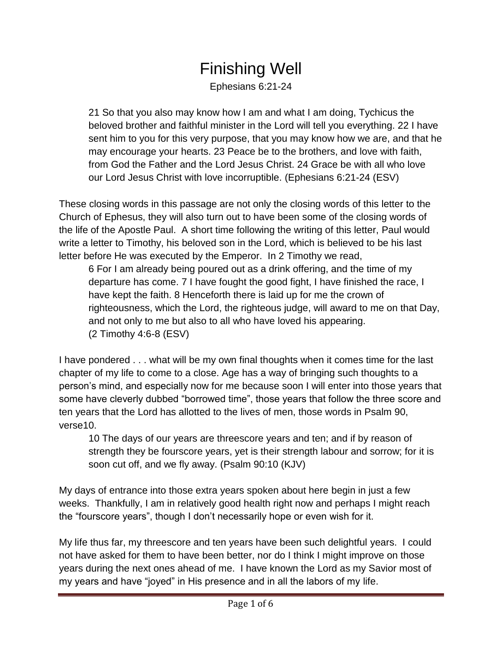## Finishing Well

Ephesians 6:21-24

21 So that you also may know how I am and what I am doing, Tychicus the beloved brother and faithful minister in the Lord will tell you everything. 22 I have sent him to you for this very purpose, that you may know how we are, and that he may encourage your hearts. 23 Peace be to the brothers, and love with faith, from God the Father and the Lord Jesus Christ. 24 Grace be with all who love our Lord Jesus Christ with love incorruptible. (Ephesians 6:21-24 (ESV)

These closing words in this passage are not only the closing words of this letter to the Church of Ephesus, they will also turn out to have been some of the closing words of the life of the Apostle Paul. A short time following the writing of this letter, Paul would write a letter to Timothy, his beloved son in the Lord, which is believed to be his last letter before He was executed by the Emperor. In 2 Timothy we read,

6 For I am already being poured out as a drink offering, and the time of my departure has come. 7 I have fought the good fight, I have finished the race, I have kept the faith. 8 Henceforth there is laid up for me the crown of righteousness, which the Lord, the righteous judge, will award to me on that Day, and not only to me but also to all who have loved his appearing. (2 Timothy 4:6-8 (ESV)

I have pondered . . . what will be my own final thoughts when it comes time for the last chapter of my life to come to a close. Age has a way of bringing such thoughts to a person's mind, and especially now for me because soon I will enter into those years that some have cleverly dubbed "borrowed time", those years that follow the three score and ten years that the Lord has allotted to the lives of men, those words in Psalm 90, verse10.

10 The days of our years are threescore years and ten; and if by reason of strength they be fourscore years, yet is their strength labour and sorrow; for it is soon cut off, and we fly away. (Psalm 90:10 (KJV)

My days of entrance into those extra years spoken about here begin in just a few weeks. Thankfully, I am in relatively good health right now and perhaps I might reach the "fourscore years", though I don't necessarily hope or even wish for it.

My life thus far, my threescore and ten years have been such delightful years. I could not have asked for them to have been better, nor do I think I might improve on those years during the next ones ahead of me. I have known the Lord as my Savior most of my years and have "joyed" in His presence and in all the labors of my life.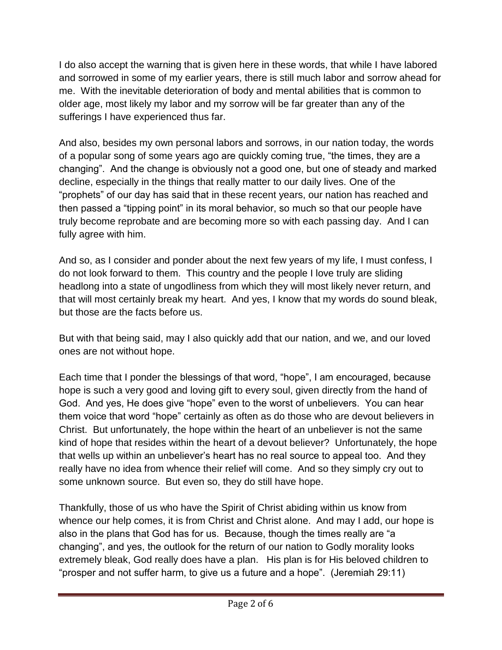I do also accept the warning that is given here in these words, that while I have labored and sorrowed in some of my earlier years, there is still much labor and sorrow ahead for me. With the inevitable deterioration of body and mental abilities that is common to older age, most likely my labor and my sorrow will be far greater than any of the sufferings I have experienced thus far.

And also, besides my own personal labors and sorrows, in our nation today, the words of a popular song of some years ago are quickly coming true, "the times, they are a changing". And the change is obviously not a good one, but one of steady and marked decline, especially in the things that really matter to our daily lives. One of the "prophets" of our day has said that in these recent years, our nation has reached and then passed a "tipping point" in its moral behavior, so much so that our people have truly become reprobate and are becoming more so with each passing day. And I can fully agree with him.

And so, as I consider and ponder about the next few years of my life, I must confess, I do not look forward to them. This country and the people I love truly are sliding headlong into a state of ungodliness from which they will most likely never return, and that will most certainly break my heart. And yes, I know that my words do sound bleak, but those are the facts before us.

But with that being said, may I also quickly add that our nation, and we, and our loved ones are not without hope.

Each time that I ponder the blessings of that word, "hope", I am encouraged, because hope is such a very good and loving gift to every soul, given directly from the hand of God. And yes, He does give "hope" even to the worst of unbelievers. You can hear them voice that word "hope" certainly as often as do those who are devout believers in Christ. But unfortunately, the hope within the heart of an unbeliever is not the same kind of hope that resides within the heart of a devout believer? Unfortunately, the hope that wells up within an unbeliever's heart has no real source to appeal too. And they really have no idea from whence their relief will come. And so they simply cry out to some unknown source. But even so, they do still have hope.

Thankfully, those of us who have the Spirit of Christ abiding within us know from whence our help comes, it is from Christ and Christ alone. And may I add, our hope is also in the plans that God has for us. Because, though the times really are "a changing", and yes, the outlook for the return of our nation to Godly morality looks extremely bleak, God really does have a plan. His plan is for His beloved children to "prosper and not suffer harm, to give us a future and a hope". (Jeremiah 29:11)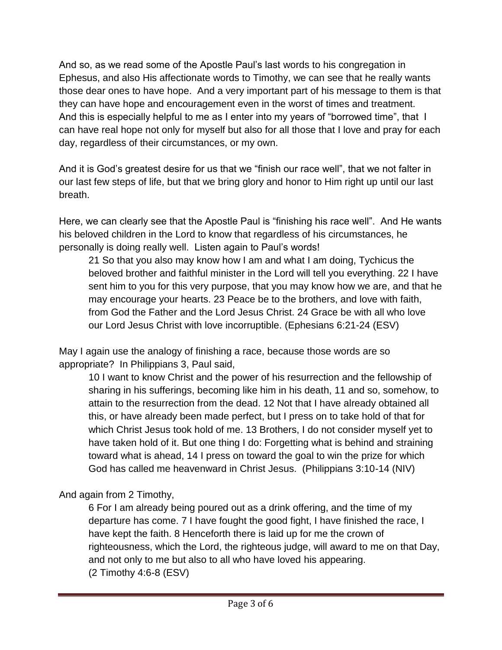And so, as we read some of the Apostle Paul's last words to his congregation in Ephesus, and also His affectionate words to Timothy, we can see that he really wants those dear ones to have hope. And a very important part of his message to them is that they can have hope and encouragement even in the worst of times and treatment. And this is especially helpful to me as I enter into my years of "borrowed time", that I can have real hope not only for myself but also for all those that I love and pray for each day, regardless of their circumstances, or my own.

And it is God's greatest desire for us that we "finish our race well", that we not falter in our last few steps of life, but that we bring glory and honor to Him right up until our last breath.

Here, we can clearly see that the Apostle Paul is "finishing his race well". And He wants his beloved children in the Lord to know that regardless of his circumstances, he personally is doing really well. Listen again to Paul's words!

21 So that you also may know how I am and what I am doing, Tychicus the beloved brother and faithful minister in the Lord will tell you everything. 22 I have sent him to you for this very purpose, that you may know how we are, and that he may encourage your hearts. 23 Peace be to the brothers, and love with faith, from God the Father and the Lord Jesus Christ. 24 Grace be with all who love our Lord Jesus Christ with love incorruptible. (Ephesians 6:21-24 (ESV)

May I again use the analogy of finishing a race, because those words are so appropriate? In Philippians 3, Paul said,

10 I want to know Christ and the power of his resurrection and the fellowship of sharing in his sufferings, becoming like him in his death, 11 and so, somehow, to attain to the resurrection from the dead. 12 Not that I have already obtained all this, or have already been made perfect, but I press on to take hold of that for which Christ Jesus took hold of me. 13 Brothers, I do not consider myself yet to have taken hold of it. But one thing I do: Forgetting what is behind and straining toward what is ahead, 14 I press on toward the goal to win the prize for which God has called me heavenward in Christ Jesus. (Philippians 3:10-14 (NIV)

And again from 2 Timothy,

6 For I am already being poured out as a drink offering, and the time of my departure has come. 7 I have fought the good fight, I have finished the race, I have kept the faith. 8 Henceforth there is laid up for me the crown of righteousness, which the Lord, the righteous judge, will award to me on that Day, and not only to me but also to all who have loved his appearing. (2 Timothy 4:6-8 (ESV)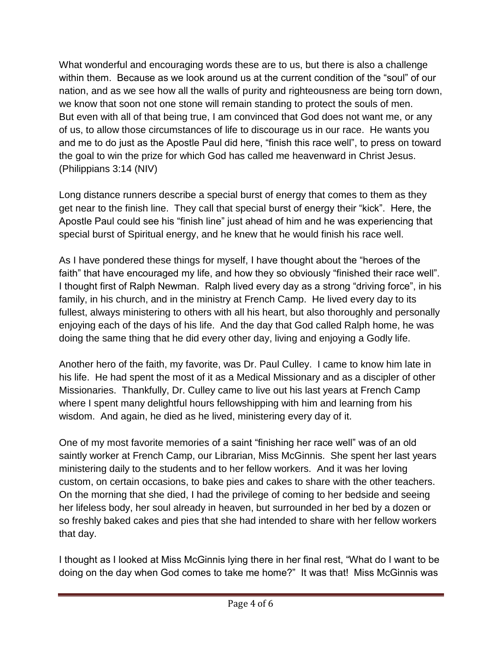What wonderful and encouraging words these are to us, but there is also a challenge within them. Because as we look around us at the current condition of the "soul" of our nation, and as we see how all the walls of purity and righteousness are being torn down, we know that soon not one stone will remain standing to protect the souls of men. But even with all of that being true, I am convinced that God does not want me, or any of us, to allow those circumstances of life to discourage us in our race. He wants you and me to do just as the Apostle Paul did here, "finish this race well", to press on toward the goal to win the prize for which God has called me heavenward in Christ Jesus. (Philippians 3:14 (NIV)

Long distance runners describe a special burst of energy that comes to them as they get near to the finish line. They call that special burst of energy their "kick". Here, the Apostle Paul could see his "finish line" just ahead of him and he was experiencing that special burst of Spiritual energy, and he knew that he would finish his race well.

As I have pondered these things for myself, I have thought about the "heroes of the faith" that have encouraged my life, and how they so obviously "finished their race well". I thought first of Ralph Newman. Ralph lived every day as a strong "driving force", in his family, in his church, and in the ministry at French Camp. He lived every day to its fullest, always ministering to others with all his heart, but also thoroughly and personally enjoying each of the days of his life. And the day that God called Ralph home, he was doing the same thing that he did every other day, living and enjoying a Godly life.

Another hero of the faith, my favorite, was Dr. Paul Culley. I came to know him late in his life. He had spent the most of it as a Medical Missionary and as a discipler of other Missionaries. Thankfully, Dr. Culley came to live out his last years at French Camp where I spent many delightful hours fellowshipping with him and learning from his wisdom. And again, he died as he lived, ministering every day of it.

One of my most favorite memories of a saint "finishing her race well" was of an old saintly worker at French Camp, our Librarian, Miss McGinnis. She spent her last years ministering daily to the students and to her fellow workers. And it was her loving custom, on certain occasions, to bake pies and cakes to share with the other teachers. On the morning that she died, I had the privilege of coming to her bedside and seeing her lifeless body, her soul already in heaven, but surrounded in her bed by a dozen or so freshly baked cakes and pies that she had intended to share with her fellow workers that day.

I thought as I looked at Miss McGinnis lying there in her final rest, "What do I want to be doing on the day when God comes to take me home?" It was that! Miss McGinnis was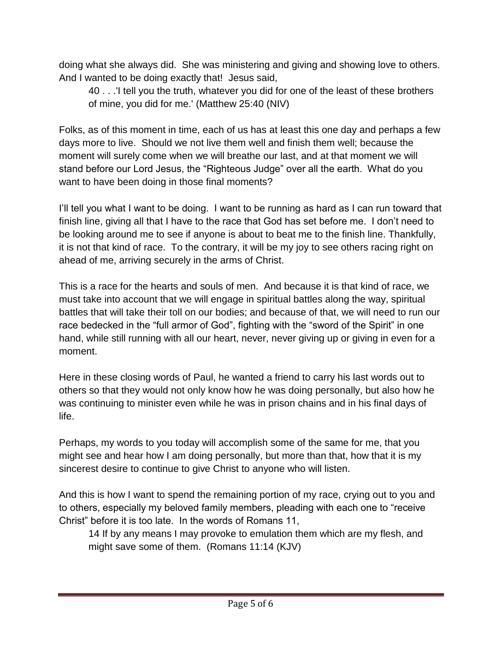doing what she always did. She was ministering and giving and showing love to others. And I wanted to be doing exactly that! Jesus said,

40 . . .'I tell you the truth, whatever you did for one of the least of these brothers of mine, you did for me.' (Matthew 25:40 (NIV)

Folks, as of this moment in time, each of us has at least this one day and perhaps a few days more to live. Should we not live them well and finish them well; because the moment will surely come when we will breathe our last, and at that moment we will stand before our Lord Jesus, the "Righteous Judge" over all the earth. What do you want to have been doing in those final moments?

I'll tell you what I want to be doing. I want to be running as hard as I can run toward that finish line, giving all that I have to the race that God has set before me. I don't need to be looking around me to see if anyone is about to beat me to the finish line. Thankfully, it is not that kind of race. To the contrary, it will be my joy to see others racing right on ahead of me, arriving securely in the arms of Christ.

This is a race for the hearts and souls of men. And because it is that kind of race, we must take into account that we will engage in spiritual battles along the way, spiritual battles that will take their toll on our bodies; and because of that, we will need to run our race bedecked in the "full armor of God", fighting with the "sword of the Spirit" in one hand, while still running with all our heart, never, never giving up or giving in even for a moment.

Here in these closing words of Paul, he wanted a friend to carry his last words out to others so that they would not only know how he was doing personally, but also how he was continuing to minister even while he was in prison chains and in his final days of life.

Perhaps, my words to you today will accomplish some of the same for me, that you might see and hear how I am doing personally, but more than that, how that it is my sincerest desire to continue to give Christ to anyone who will listen.

And this is how I want to spend the remaining portion of my race, crying out to you and to others, especially my beloved family members, pleading with each one to "receive Christ" before it is too late. In the words of Romans 11,

14 If by any means I may provoke to emulation them which are my flesh, and might save some of them. (Romans 11:14 (KJV)